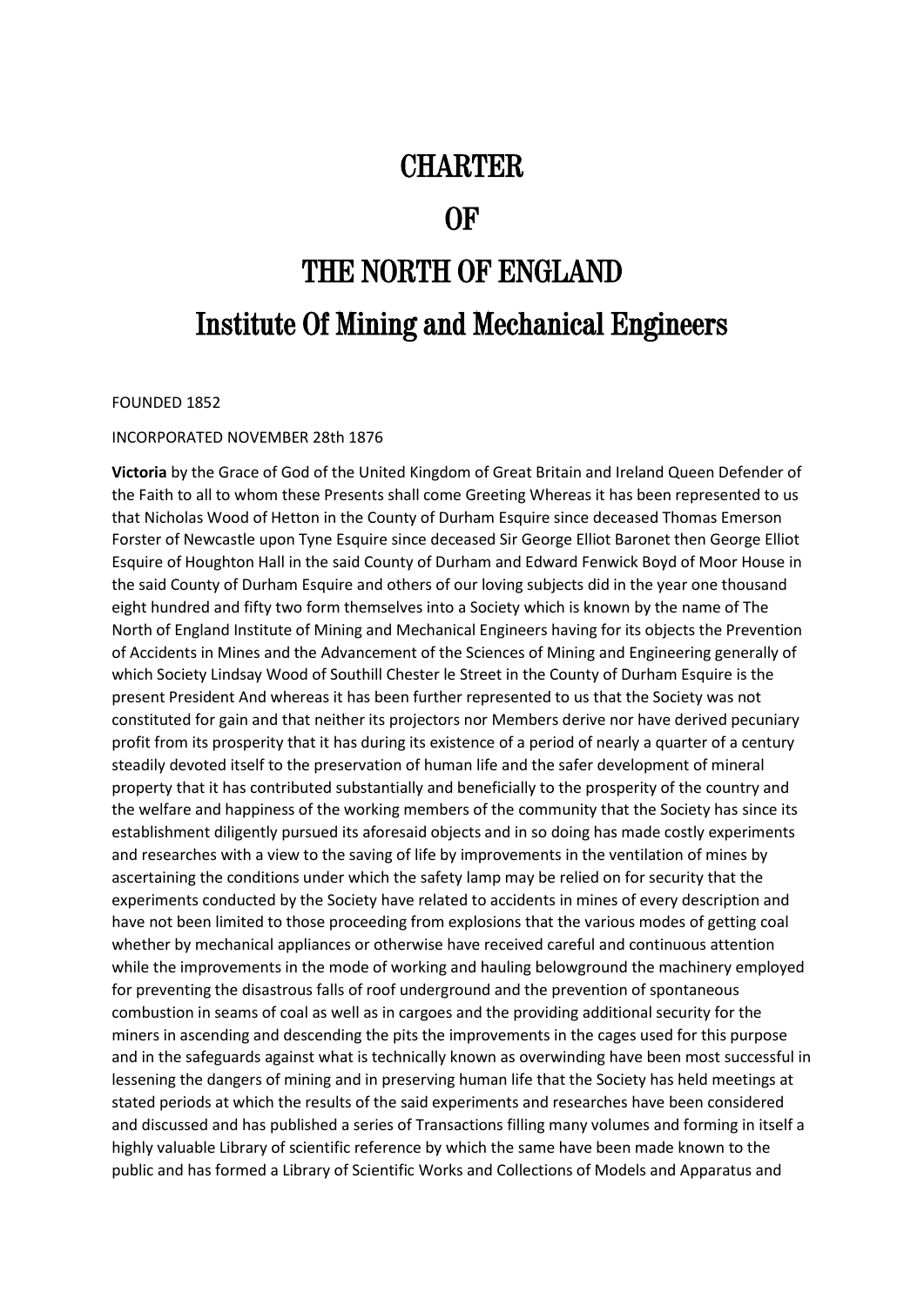# **CHARTER**

# OF

# THE NORTH OF ENGLAND Institute Of Mining and Mechanical Engineers

FOUNDED 1852

### INCORPORATED NOVEMBER 28th 1876

**Victoria** by the Grace of God of the United Kingdom of Great Britain and Ireland Queen Defender of the Faith to all to whom these Presents shall come Greeting Whereas it has been represented to us that Nicholas Wood of Hetton in the County of Durham Esquire since deceased Thomas Emerson Forster of Newcastle upon Tyne Esquire since deceased Sir George Elliot Baronet then George Elliot Esquire of Houghton Hall in the said County of Durham and Edward Fenwick Boyd of Moor House in the said County of Durham Esquire and others of our loving subjects did in the year one thousand eight hundred and fifty two form themselves into a Society which is known by the name of The North of England Institute of Mining and Mechanical Engineers having for its objects the Prevention of Accidents in Mines and the Advancement of the Sciences of Mining and Engineering generally of which Society Lindsay Wood of Southill Chester le Street in the County of Durham Esquire is the present President And whereas it has been further represented to us that the Society was not constituted for gain and that neither its projectors nor Members derive nor have derived pecuniary profit from its prosperity that it has during its existence of a period of nearly a quarter of a century steadily devoted itself to the preservation of human life and the safer development of mineral property that it has contributed substantially and beneficially to the prosperity of the country and the welfare and happiness of the working members of the community that the Society has since its establishment diligently pursued its aforesaid objects and in so doing has made costly experiments and researches with a view to the saving of life by improvements in the ventilation of mines by ascertaining the conditions under which the safety lamp may be relied on for security that the experiments conducted by the Society have related to accidents in mines of every description and have not been limited to those proceeding from explosions that the various modes of getting coal whether by mechanical appliances or otherwise have received careful and continuous attention while the improvements in the mode of working and hauling belowground the machinery employed for preventing the disastrous falls of roof underground and the prevention of spontaneous combustion in seams of coal as well as in cargoes and the providing additional security for the miners in ascending and descending the pits the improvements in the cages used for this purpose and in the safeguards against what is technically known as overwinding have been most successful in lessening the dangers of mining and in preserving human life that the Society has held meetings at stated periods at which the results of the said experiments and researches have been considered and discussed and has published a series of Transactions filling many volumes and forming in itself a highly valuable Library of scientific reference by which the same have been made known to the public and has formed a Library of Scientific Works and Collections of Models and Apparatus and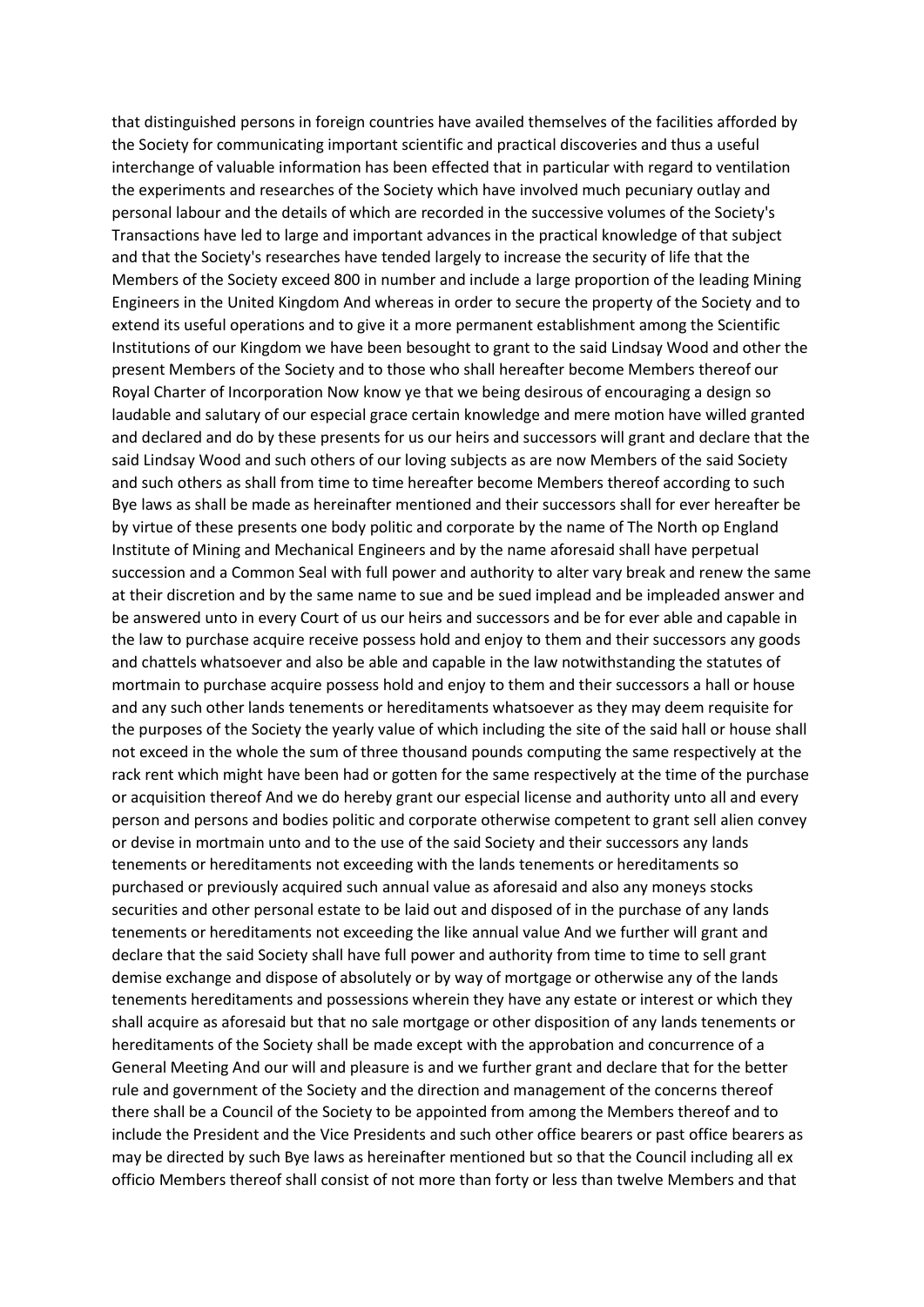that distinguished persons in foreign countries have availed themselves of the facilities afforded by the Society for communicating important scientific and practical discoveries and thus a useful interchange of valuable information has been effected that in particular with regard to ventilation the experiments and researches of the Society which have involved much pecuniary outlay and personal labour and the details of which are recorded in the successive volumes of the Society's Transactions have led to large and important advances in the practical knowledge of that subject and that the Society's researches have tended largely to increase the security of life that the Members of the Society exceed 800 in number and include a large proportion of the leading Mining Engineers in the United Kingdom And whereas in order to secure the property of the Society and to extend its useful operations and to give it a more permanent establishment among the Scientific Institutions of our Kingdom we have been besought to grant to the said Lindsay Wood and other the present Members of the Society and to those who shall hereafter become Members thereof our Royal Charter of Incorporation Now know ye that we being desirous of encouraging a design so laudable and salutary of our especial grace certain knowledge and mere motion have willed granted and declared and do by these presents for us our heirs and successors will grant and declare that the said Lindsay Wood and such others of our loving subjects as are now Members of the said Society and such others as shall from time to time hereafter become Members thereof according to such Bye laws as shall be made as hereinafter mentioned and their successors shall for ever hereafter be by virtue of these presents one body politic and corporate by the name of The North op England Institute of Mining and Mechanical Engineers and by the name aforesaid shall have perpetual succession and a Common Seal with full power and authority to alter vary break and renew the same at their discretion and by the same name to sue and be sued implead and be impleaded answer and be answered unto in every Court of us our heirs and successors and be for ever able and capable in the law to purchase acquire receive possess hold and enjoy to them and their successors any goods and chattels whatsoever and also be able and capable in the law notwithstanding the statutes of mortmain to purchase acquire possess hold and enjoy to them and their successors a hall or house and any such other lands tenements or hereditaments whatsoever as they may deem requisite for the purposes of the Society the yearly value of which including the site of the said hall or house shall not exceed in the whole the sum of three thousand pounds computing the same respectively at the rack rent which might have been had or gotten for the same respectively at the time of the purchase or acquisition thereof And we do hereby grant our especial license and authority unto all and every person and persons and bodies politic and corporate otherwise competent to grant sell alien convey or devise in mortmain unto and to the use of the said Society and their successors any lands tenements or hereditaments not exceeding with the lands tenements or hereditaments so purchased or previously acquired such annual value as aforesaid and also any moneys stocks securities and other personal estate to be laid out and disposed of in the purchase of any lands tenements or hereditaments not exceeding the like annual value And we further will grant and declare that the said Society shall have full power and authority from time to time to sell grant demise exchange and dispose of absolutely or by way of mortgage or otherwise any of the lands tenements hereditaments and possessions wherein they have any estate or interest or which they shall acquire as aforesaid but that no sale mortgage or other disposition of any lands tenements or hereditaments of the Society shall be made except with the approbation and concurrence of a General Meeting And our will and pleasure is and we further grant and declare that for the better rule and government of the Society and the direction and management of the concerns thereof there shall be a Council of the Society to be appointed from among the Members thereof and to include the President and the Vice Presidents and such other office bearers or past office bearers as may be directed by such Bye laws as hereinafter mentioned but so that the Council including all ex officio Members thereof shall consist of not more than forty or less than twelve Members and that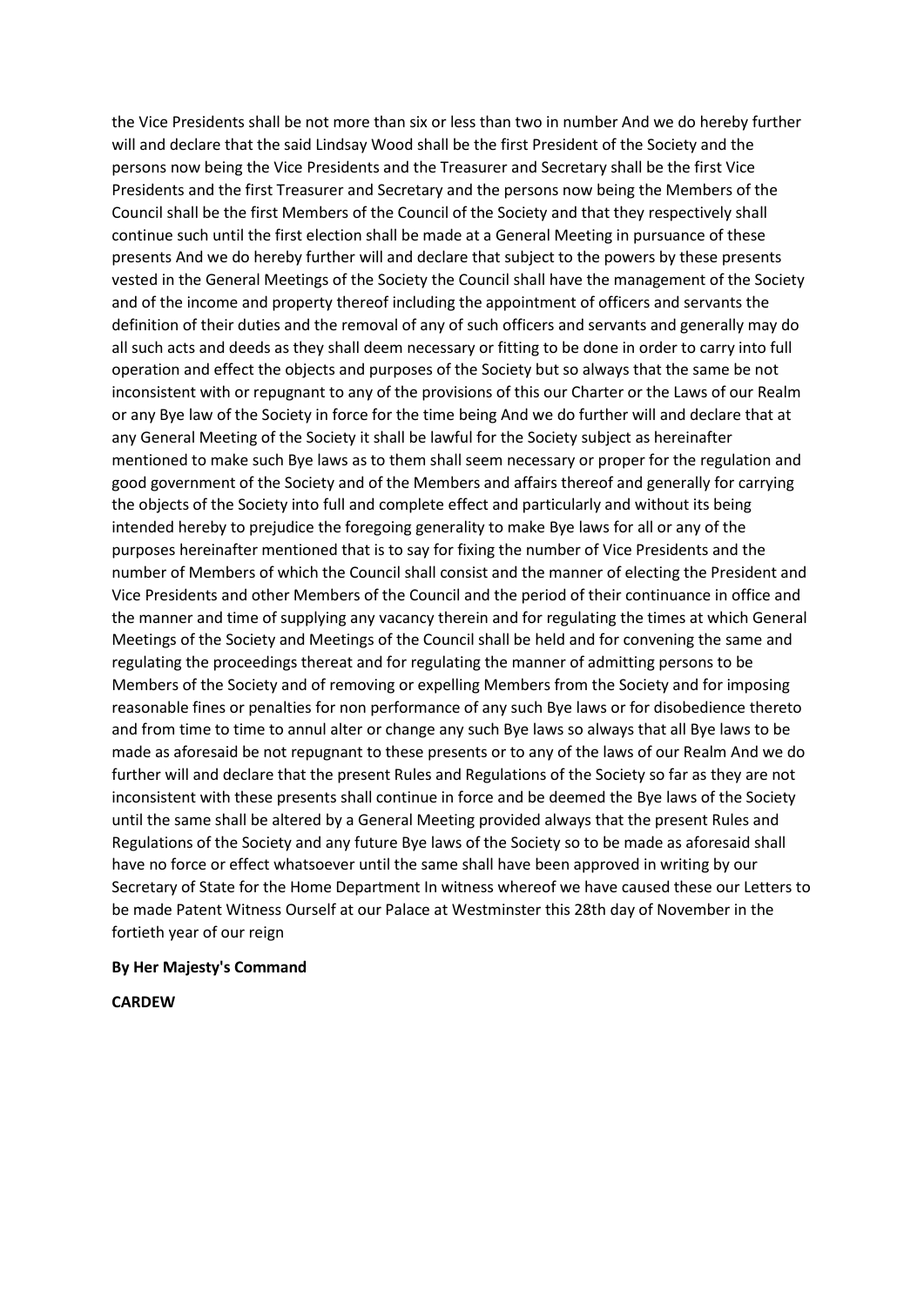the Vice Presidents shall be not more than six or less than two in number And we do hereby further will and declare that the said Lindsay Wood shall be the first President of the Society and the persons now being the Vice Presidents and the Treasurer and Secretary shall be the first Vice Presidents and the first Treasurer and Secretary and the persons now being the Members of the Council shall be the first Members of the Council of the Society and that they respectively shall continue such until the first election shall be made at a General Meeting in pursuance of these presents And we do hereby further will and declare that subject to the powers by these presents vested in the General Meetings of the Society the Council shall have the management of the Society and of the income and property thereof including the appointment of officers and servants the definition of their duties and the removal of any of such officers and servants and generally may do all such acts and deeds as they shall deem necessary or fitting to be done in order to carry into full operation and effect the objects and purposes of the Society but so always that the same be not inconsistent with or repugnant to any of the provisions of this our Charter or the Laws of our Realm or any Bye law of the Society in force for the time being And we do further will and declare that at any General Meeting of the Society it shall be lawful for the Society subject as hereinafter mentioned to make such Bye laws as to them shall seem necessary or proper for the regulation and good government of the Society and of the Members and affairs thereof and generally for carrying the objects of the Society into full and complete effect and particularly and without its being intended hereby to prejudice the foregoing generality to make Bye laws for all or any of the purposes hereinafter mentioned that is to say for fixing the number of Vice Presidents and the number of Members of which the Council shall consist and the manner of electing the President and Vice Presidents and other Members of the Council and the period of their continuance in office and the manner and time of supplying any vacancy therein and for regulating the times at which General Meetings of the Society and Meetings of the Council shall be held and for convening the same and regulating the proceedings thereat and for regulating the manner of admitting persons to be Members of the Society and of removing or expelling Members from the Society and for imposing reasonable fines or penalties for non performance of any such Bye laws or for disobedience thereto and from time to time to annul alter or change any such Bye laws so always that all Bye laws to be made as aforesaid be not repugnant to these presents or to any of the laws of our Realm And we do further will and declare that the present Rules and Regulations of the Society so far as they are not inconsistent with these presents shall continue in force and be deemed the Bye laws of the Society until the same shall be altered by a General Meeting provided always that the present Rules and Regulations of the Society and any future Bye laws of the Society so to be made as aforesaid shall have no force or effect whatsoever until the same shall have been approved in writing by our Secretary of State for the Home Department In witness whereof we have caused these our Letters to be made Patent Witness Ourself at our Palace at Westminster this 28th day of November in the fortieth year of our reign

#### **By Her Majesty's Command**

**CARDEW**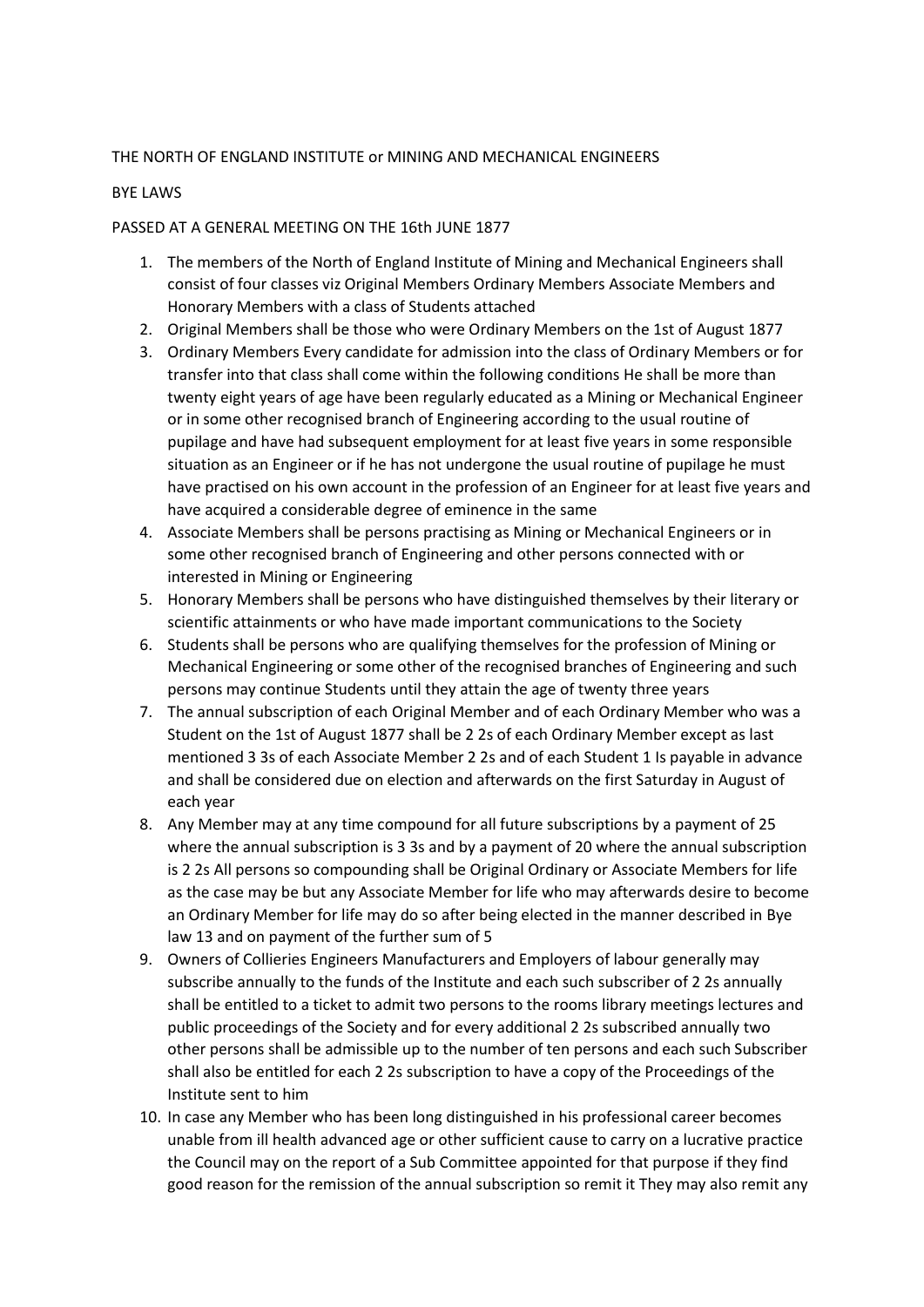## THE NORTH OF ENGLAND INSTITUTE or MINING AND MECHANICAL ENGINEERS

#### BYE LAWS

#### PASSED AT A GENERAL MEETING ON THE 16th JUNE 1877

- 1. The members of the North of England Institute of Mining and Mechanical Engineers shall consist of four classes viz Original Members Ordinary Members Associate Members and Honorary Members with a class of Students attached
- 2. Original Members shall be those who were Ordinary Members on the 1st of August 1877
- 3. Ordinary Members Every candidate for admission into the class of Ordinary Members or for transfer into that class shall come within the following conditions He shall be more than twenty eight years of age have been regularly educated as a Mining or Mechanical Engineer or in some other recognised branch of Engineering according to the usual routine of pupilage and have had subsequent employment for at least five years in some responsible situation as an Engineer or if he has not undergone the usual routine of pupilage he must have practised on his own account in the profession of an Engineer for at least five years and have acquired a considerable degree of eminence in the same
- 4. Associate Members shall be persons practising as Mining or Mechanical Engineers or in some other recognised branch of Engineering and other persons connected with or interested in Mining or Engineering
- 5. Honorary Members shall be persons who have distinguished themselves by their literary or scientific attainments or who have made important communications to the Society
- 6. Students shall be persons who are qualifying themselves for the profession of Mining or Mechanical Engineering or some other of the recognised branches of Engineering and such persons may continue Students until they attain the age of twenty three years
- 7. The annual subscription of each Original Member and of each Ordinary Member who was a Student on the 1st of August 1877 shall be 2 2s of each Ordinary Member except as last mentioned 3 3s of each Associate Member 2 2s and of each Student 1 Is payable in advance and shall be considered due on election and afterwards on the first Saturday in August of each year
- 8. Any Member may at any time compound for all future subscriptions by a payment of 25 where the annual subscription is 3 3s and by a payment of 20 where the annual subscription is 2 2s All persons so compounding shall be Original Ordinary or Associate Members for life as the case may be but any Associate Member for life who may afterwards desire to become an Ordinary Member for life may do so after being elected in the manner described in Bye law 13 and on payment of the further sum of 5
- 9. Owners of Collieries Engineers Manufacturers and Employers of labour generally may subscribe annually to the funds of the Institute and each such subscriber of 2 2s annually shall be entitled to a ticket to admit two persons to the rooms library meetings lectures and public proceedings of the Society and for every additional 2 2s subscribed annually two other persons shall be admissible up to the number of ten persons and each such Subscriber shall also be entitled for each 2 2s subscription to have a copy of the Proceedings of the Institute sent to him
- 10. In case any Member who has been long distinguished in his professional career becomes unable from ill health advanced age or other sufficient cause to carry on a lucrative practice the Council may on the report of a Sub Committee appointed for that purpose if they find good reason for the remission of the annual subscription so remit it They may also remit any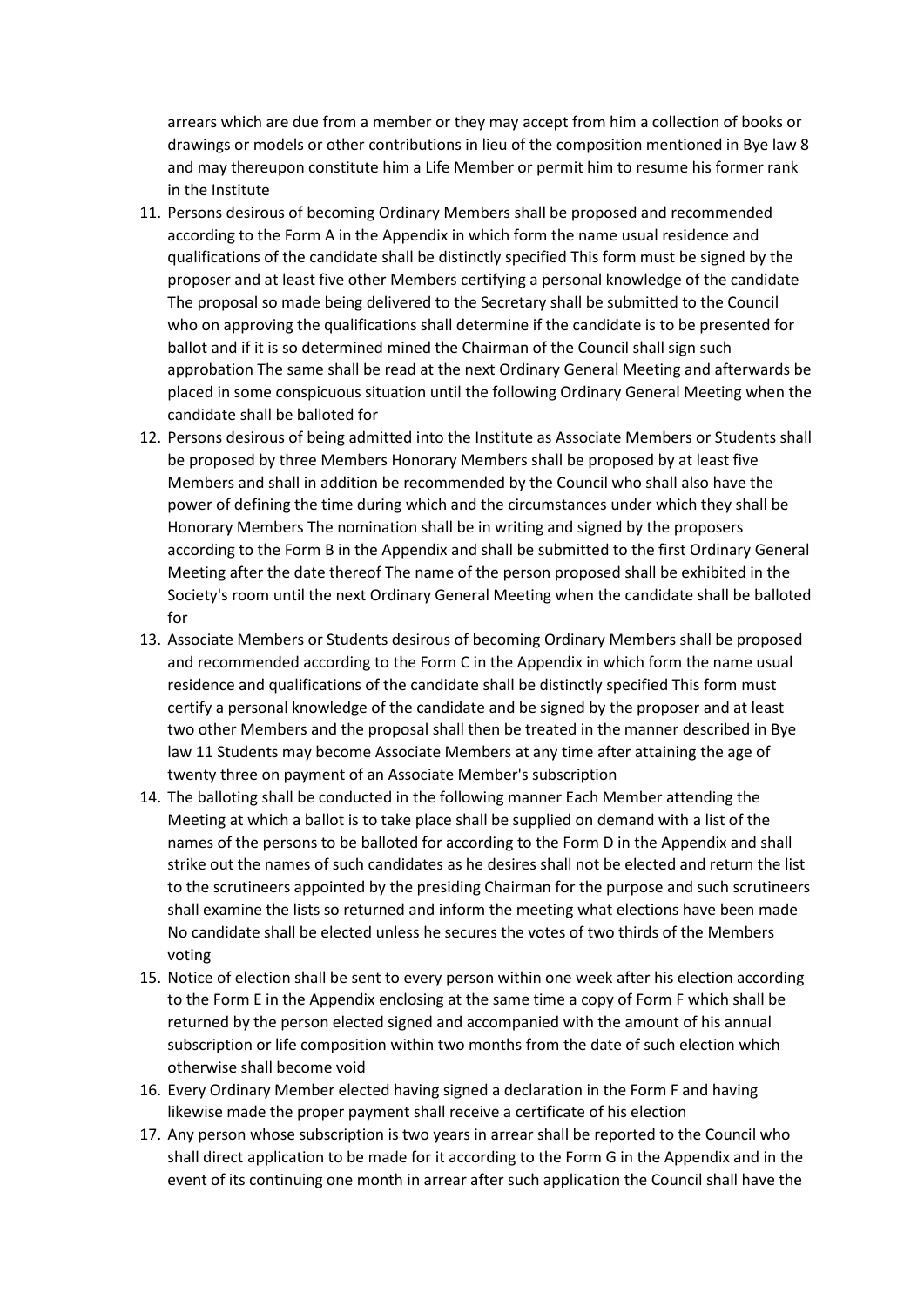arrears which are due from a member or they may accept from him a collection of books or drawings or models or other contributions in lieu of the composition mentioned in Bye law 8 and may thereupon constitute him a Life Member or permit him to resume his former rank in the Institute

- 11. Persons desirous of becoming Ordinary Members shall be proposed and recommended according to the Form A in the Appendix in which form the name usual residence and qualifications of the candidate shall be distinctly specified This form must be signed by the proposer and at least five other Members certifying a personal knowledge of the candidate The proposal so made being delivered to the Secretary shall be submitted to the Council who on approving the qualifications shall determine if the candidate is to be presented for ballot and if it is so determined mined the Chairman of the Council shall sign such approbation The same shall be read at the next Ordinary General Meeting and afterwards be placed in some conspicuous situation until the following Ordinary General Meeting when the candidate shall be balloted for
- 12. Persons desirous of being admitted into the Institute as Associate Members or Students shall be proposed by three Members Honorary Members shall be proposed by at least five Members and shall in addition be recommended by the Council who shall also have the power of defining the time during which and the circumstances under which they shall be Honorary Members The nomination shall be in writing and signed by the proposers according to the Form B in the Appendix and shall be submitted to the first Ordinary General Meeting after the date thereof The name of the person proposed shall be exhibited in the Society's room until the next Ordinary General Meeting when the candidate shall be balloted for
- 13. Associate Members or Students desirous of becoming Ordinary Members shall be proposed and recommended according to the Form C in the Appendix in which form the name usual residence and qualifications of the candidate shall be distinctly specified This form must certify a personal knowledge of the candidate and be signed by the proposer and at least two other Members and the proposal shall then be treated in the manner described in Bye law 11 Students may become Associate Members at any time after attaining the age of twenty three on payment of an Associate Member's subscription
- 14. The balloting shall be conducted in the following manner Each Member attending the Meeting at which a ballot is to take place shall be supplied on demand with a list of the names of the persons to be balloted for according to the Form D in the Appendix and shall strike out the names of such candidates as he desires shall not be elected and return the list to the scrutineers appointed by the presiding Chairman for the purpose and such scrutineers shall examine the lists so returned and inform the meeting what elections have been made No candidate shall be elected unless he secures the votes of two thirds of the Members voting
- 15. Notice of election shall be sent to every person within one week after his election according to the Form E in the Appendix enclosing at the same time a copy of Form F which shall be returned by the person elected signed and accompanied with the amount of his annual subscription or life composition within two months from the date of such election which otherwise shall become void
- 16. Every Ordinary Member elected having signed a declaration in the Form F and having likewise made the proper payment shall receive a certificate of his election
- 17. Any person whose subscription is two years in arrear shall be reported to the Council who shall direct application to be made for it according to the Form G in the Appendix and in the event of its continuing one month in arrear after such application the Council shall have the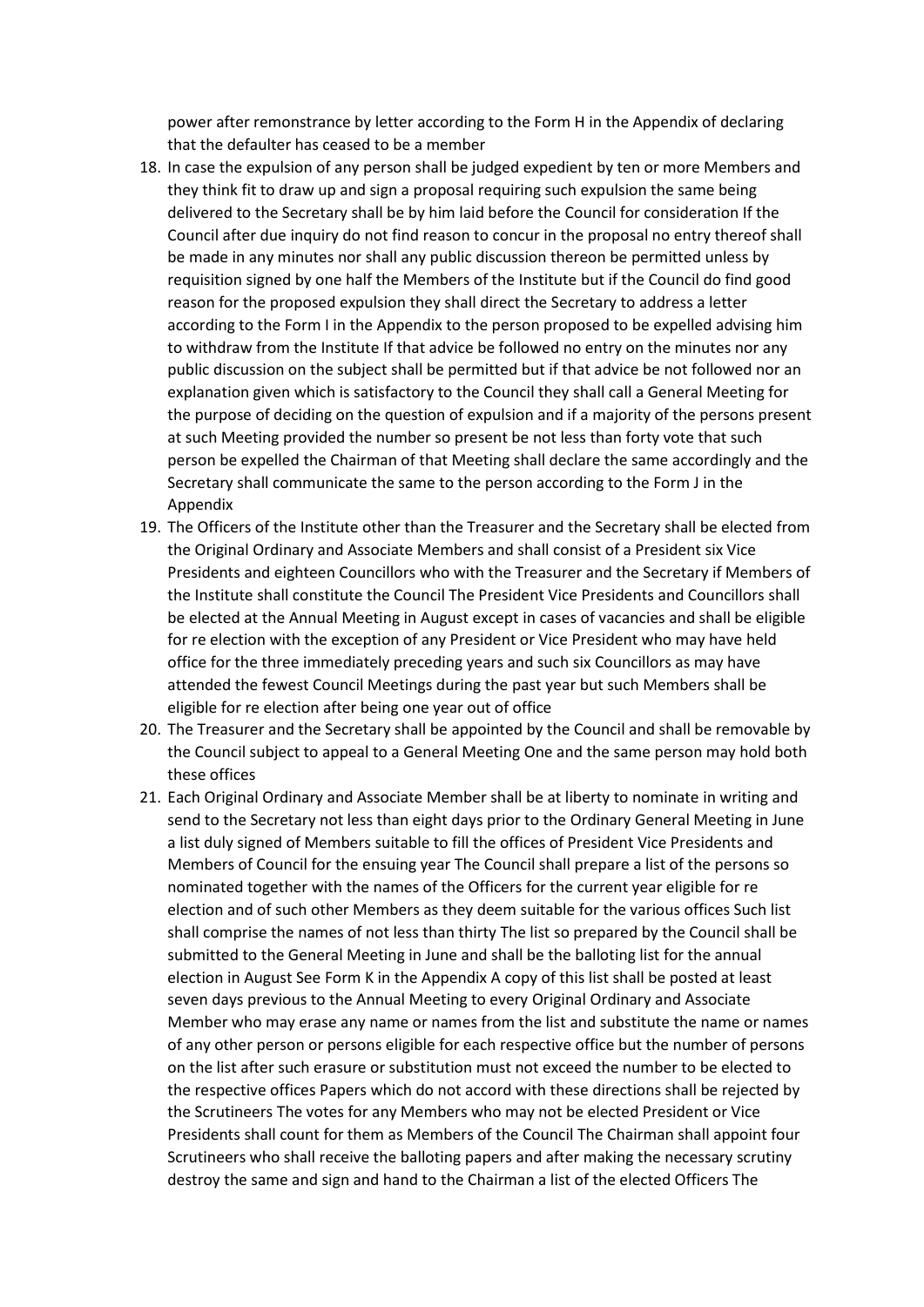power after remonstrance by letter according to the Form H in the Appendix of declaring that the defaulter has ceased to be a member

- 18. In case the expulsion of any person shall be judged expedient by ten or more Members and they think fit to draw up and sign a proposal requiring such expulsion the same being delivered to the Secretary shall be by him laid before the Council for consideration If the Council after due inquiry do not find reason to concur in the proposal no entry thereof shall be made in any minutes nor shall any public discussion thereon be permitted unless by requisition signed by one half the Members of the Institute but if the Council do find good reason for the proposed expulsion they shall direct the Secretary to address a letter according to the Form I in the Appendix to the person proposed to be expelled advising him to withdraw from the Institute If that advice be followed no entry on the minutes nor any public discussion on the subject shall be permitted but if that advice be not followed nor an explanation given which is satisfactory to the Council they shall call a General Meeting for the purpose of deciding on the question of expulsion and if a majority of the persons present at such Meeting provided the number so present be not less than forty vote that such person be expelled the Chairman of that Meeting shall declare the same accordingly and the Secretary shall communicate the same to the person according to the Form J in the Appendix
- 19. The Officers of the Institute other than the Treasurer and the Secretary shall be elected from the Original Ordinary and Associate Members and shall consist of a President six Vice Presidents and eighteen Councillors who with the Treasurer and the Secretary if Members of the Institute shall constitute the Council The President Vice Presidents and Councillors shall be elected at the Annual Meeting in August except in cases of vacancies and shall be eligible for re election with the exception of any President or Vice President who may have held office for the three immediately preceding years and such six Councillors as may have attended the fewest Council Meetings during the past year but such Members shall be eligible for re election after being one year out of office
- 20. The Treasurer and the Secretary shall be appointed by the Council and shall be removable by the Council subject to appeal to a General Meeting One and the same person may hold both these offices
- 21. Each Original Ordinary and Associate Member shall be at liberty to nominate in writing and send to the Secretary not less than eight days prior to the Ordinary General Meeting in June a list duly signed of Members suitable to fill the offices of President Vice Presidents and Members of Council for the ensuing year The Council shall prepare a list of the persons so nominated together with the names of the Officers for the current year eligible for re election and of such other Members as they deem suitable for the various offices Such list shall comprise the names of not less than thirty The list so prepared by the Council shall be submitted to the General Meeting in June and shall be the balloting list for the annual election in August See Form K in the Appendix A copy of this list shall be posted at least seven days previous to the Annual Meeting to every Original Ordinary and Associate Member who may erase any name or names from the list and substitute the name or names of any other person or persons eligible for each respective office but the number of persons on the list after such erasure or substitution must not exceed the number to be elected to the respective offices Papers which do not accord with these directions shall be rejected by the Scrutineers The votes for any Members who may not be elected President or Vice Presidents shall count for them as Members of the Council The Chairman shall appoint four Scrutineers who shall receive the balloting papers and after making the necessary scrutiny destroy the same and sign and hand to the Chairman a list of the elected Officers The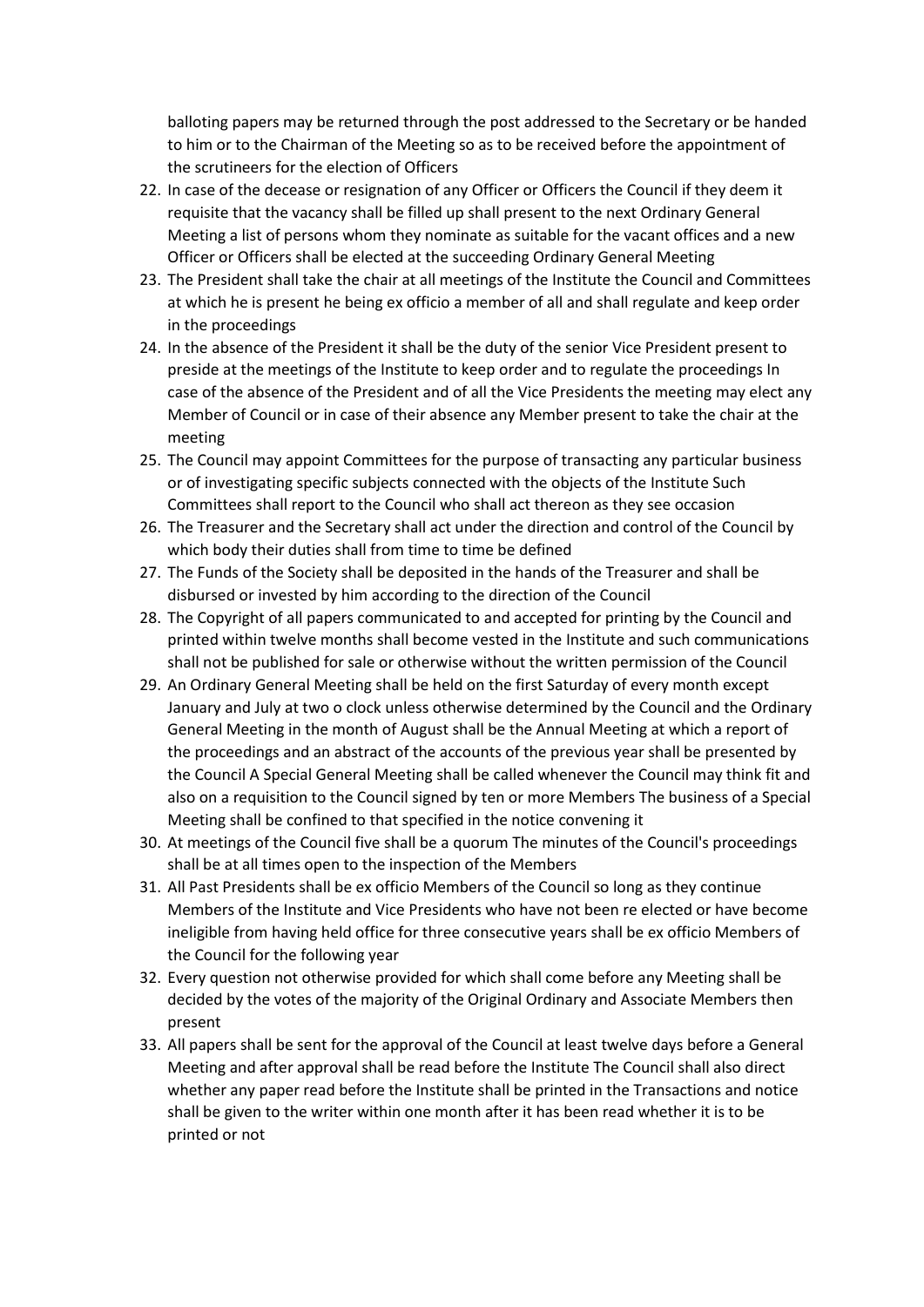balloting papers may be returned through the post addressed to the Secretary or be handed to him or to the Chairman of the Meeting so as to be received before the appointment of the scrutineers for the election of Officers

- 22. In case of the decease or resignation of any Officer or Officers the Council if they deem it requisite that the vacancy shall be filled up shall present to the next Ordinary General Meeting a list of persons whom they nominate as suitable for the vacant offices and a new Officer or Officers shall be elected at the succeeding Ordinary General Meeting
- 23. The President shall take the chair at all meetings of the Institute the Council and Committees at which he is present he being ex officio a member of all and shall regulate and keep order in the proceedings
- 24. In the absence of the President it shall be the duty of the senior Vice President present to preside at the meetings of the Institute to keep order and to regulate the proceedings In case of the absence of the President and of all the Vice Presidents the meeting may elect any Member of Council or in case of their absence any Member present to take the chair at the meeting
- 25. The Council may appoint Committees for the purpose of transacting any particular business or of investigating specific subjects connected with the objects of the Institute Such Committees shall report to the Council who shall act thereon as they see occasion
- 26. The Treasurer and the Secretary shall act under the direction and control of the Council by which body their duties shall from time to time be defined
- 27. The Funds of the Society shall be deposited in the hands of the Treasurer and shall be disbursed or invested by him according to the direction of the Council
- 28. The Copyright of all papers communicated to and accepted for printing by the Council and printed within twelve months shall become vested in the Institute and such communications shall not be published for sale or otherwise without the written permission of the Council
- 29. An Ordinary General Meeting shall be held on the first Saturday of every month except January and July at two o clock unless otherwise determined by the Council and the Ordinary General Meeting in the month of August shall be the Annual Meeting at which a report of the proceedings and an abstract of the accounts of the previous year shall be presented by the Council A Special General Meeting shall be called whenever the Council may think fit and also on a requisition to the Council signed by ten or more Members The business of a Special Meeting shall be confined to that specified in the notice convening it
- 30. At meetings of the Council five shall be a quorum The minutes of the Council's proceedings shall be at all times open to the inspection of the Members
- 31. All Past Presidents shall be ex officio Members of the Council so long as they continue Members of the Institute and Vice Presidents who have not been re elected or have become ineligible from having held office for three consecutive years shall be ex officio Members of the Council for the following year
- 32. Every question not otherwise provided for which shall come before any Meeting shall be decided by the votes of the majority of the Original Ordinary and Associate Members then present
- 33. All papers shall be sent for the approval of the Council at least twelve days before a General Meeting and after approval shall be read before the Institute The Council shall also direct whether any paper read before the Institute shall be printed in the Transactions and notice shall be given to the writer within one month after it has been read whether it is to be printed or not